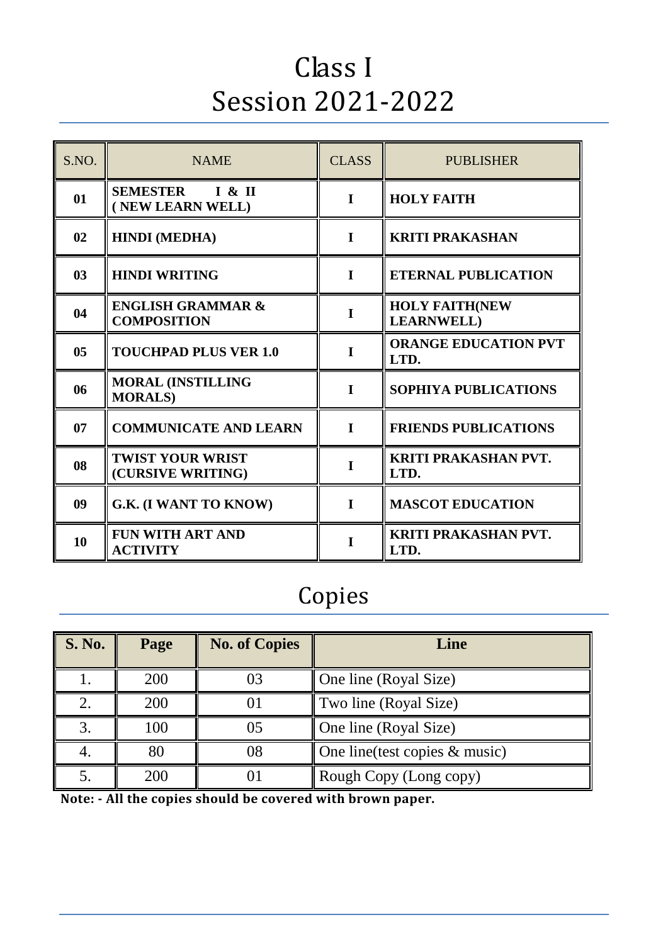# Class I Session 2021-2022

| S.NO.          | <b>NAME</b>                                        | <b>CLASS</b> | <b>PUBLISHER</b>                            |
|----------------|----------------------------------------------------|--------------|---------------------------------------------|
| 01             | <b>SEMESTER</b><br>I & I I<br>(NEW LEARN WELL)     | $\mathbf I$  | <b>HOLY FAITH</b>                           |
| 02             | <b>HINDI</b> (MEDHA)                               | I            | <b>KRITI PRAKASHAN</b>                      |
| 0 <sub>3</sub> | <b>HINDI WRITING</b>                               | $\mathbf I$  | <b>ETERNAL PUBLICATION</b>                  |
| 04             | <b>ENGLISH GRAMMAR &amp;</b><br><b>COMPOSITION</b> | $\mathbf I$  | <b>HOLY FAITH(NEW</b><br><b>LEARNWELL</b> ) |
| 0 <sub>5</sub> | <b>TOUCHPAD PLUS VER 1.0</b>                       | I            | <b>ORANGE EDUCATION PVT</b><br>LTD.         |
| 06             | <b>MORAL (INSTILLING</b><br><b>MORALS</b> )        | $\mathbf{I}$ | SOPHIYA PUBLICATIONS                        |
| 07             | <b>COMMUNICATE AND LEARN</b>                       | $\mathbf I$  | <b>FRIENDS PUBLICATIONS</b>                 |
| 08             | <b>TWIST YOUR WRIST</b><br>(CURSIVE WRITING)       | I            | <b>KRITI PRAKASHAN PVT.</b><br>LTD.         |
| 09             | G.K. (I WANT TO KNOW)                              | I            | <b>MASCOT EDUCATION</b>                     |
| 10             | <b>FUN WITH ART AND</b><br><b>ACTIVITY</b>         | I            | <b>KRITI PRAKASHAN PVT.</b><br>LTD.         |

## Copies

| <b>S. No.</b> | Page | <b>No. of Copies</b> | Line                             |
|---------------|------|----------------------|----------------------------------|
|               | 200  |                      | One line (Royal Size)            |
|               | 200  |                      | Two line (Royal Size)            |
|               | 100  | 05                   | One line (Royal Size)            |
|               | 80   | 08                   | One line (test copies $&$ music) |
|               | 200  |                      | Rough Copy (Long copy)           |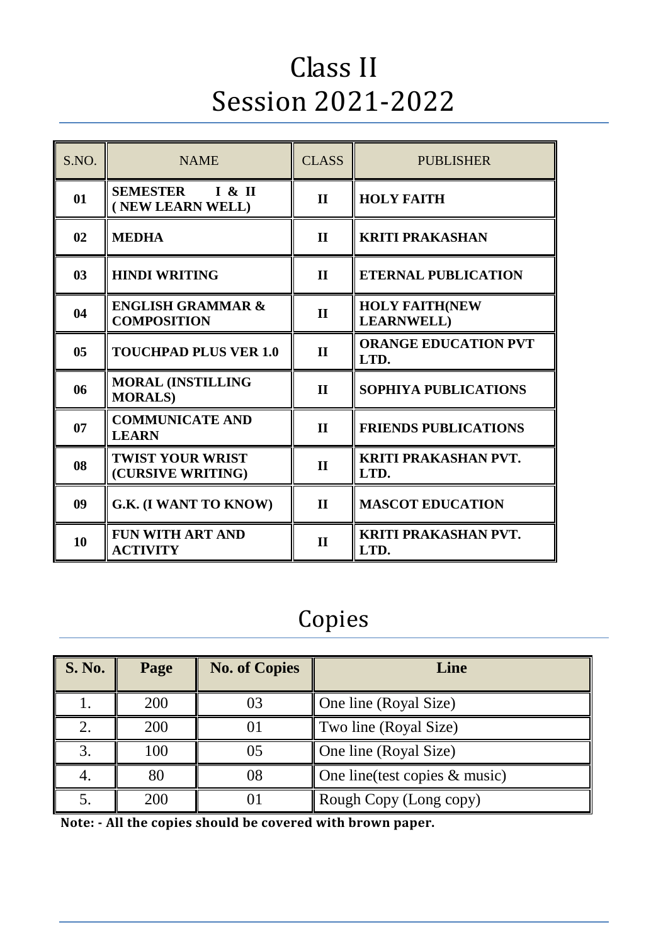# Class II Session 2021-2022

| S.NO.          | <b>NAME</b>                                        | <b>CLASS</b> | <b>PUBLISHER</b>                            |
|----------------|----------------------------------------------------|--------------|---------------------------------------------|
| 01             | <b>SEMESTER</b><br>I & I I<br>(NEW LEARN WELL)     | $\mathbf{I}$ | <b>HOLY FAITH</b>                           |
| 02             | <b>MEDHA</b>                                       | $\mathbf{I}$ | <b>KRITI PRAKASHAN</b>                      |
| 0 <sub>3</sub> | <b>HINDI WRITING</b>                               | $\mathbf{I}$ | <b>ETERNAL PUBLICATION</b>                  |
| 04             | <b>ENGLISH GRAMMAR &amp;</b><br><b>COMPOSITION</b> | $\mathbf{I}$ | <b>HOLY FAITH(NEW</b><br><b>LEARNWELL</b> ) |
| 0 <sub>5</sub> | <b>TOUCHPAD PLUS VER 1.0</b>                       | $\mathbf{I}$ | <b>ORANGE EDUCATION PVT</b><br>LTD.         |
| 06             | <b>MORAL (INSTILLING</b><br><b>MORALS)</b>         | $\mathbf{I}$ | <b>SOPHIYA PUBLICATIONS</b>                 |
| 07             | <b>COMMUNICATE AND</b><br><b>LEARN</b>             | $\mathbf{I}$ | <b>FRIENDS PUBLICATIONS</b>                 |
| 08             | <b>TWIST YOUR WRIST</b><br>(CURSIVE WRITING)       | $\mathbf{I}$ | <b>KRITI PRAKASHAN PVT.</b><br>LTD.         |
| 09             | G.K. (I WANT TO KNOW)                              | $\mathbf{I}$ | <b>MASCOT EDUCATION</b>                     |
| 10             | <b>FUN WITH ART AND</b><br><b>ACTIVITY</b>         | $\mathbf{I}$ | <b>KRITI PRAKASHAN PVT.</b><br>LTD.         |

## Copies

| <b>S. No.</b> | Page | <b>No. of Copies</b> | Line                             |
|---------------|------|----------------------|----------------------------------|
|               | 200  |                      | One line (Royal Size)            |
|               | 200  |                      | Two line (Royal Size)            |
|               | 100  | 05                   | One line (Royal Size)            |
|               | 80   |                      | One line (test copies $&$ music) |
|               | 200  |                      | Rough Copy (Long copy)           |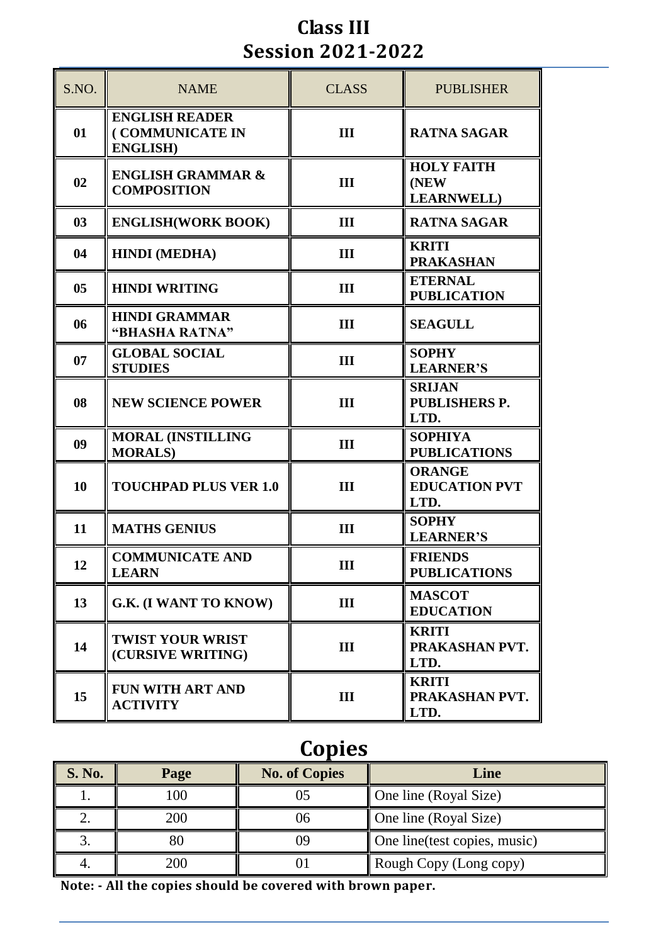#### **Class III Session 2021-2022**

| S.NO.          | <b>NAME</b>                                                 | <b>CLASS</b> | <b>PUBLISHER</b>                                |
|----------------|-------------------------------------------------------------|--------------|-------------------------------------------------|
| 01             | <b>ENGLISH READER</b><br>(COMMUNICATE IN<br><b>ENGLISH)</b> | III          | <b>RATNA SAGAR</b>                              |
| 02             | <b>ENGLISH GRAMMAR &amp;</b><br><b>COMPOSITION</b>          | III          | <b>HOLY FAITH</b><br>(NEW)<br><b>LEARNWELL)</b> |
| 03             | <b>ENGLISH(WORK BOOK)</b>                                   | III          | <b>RATNA SAGAR</b>                              |
| 04             | <b>HINDI</b> (MEDHA)                                        | III          | <b>KRITI</b><br><b>PRAKASHAN</b>                |
| 0 <sub>5</sub> | <b>HINDI WRITING</b>                                        | III          | <b>ETERNAL</b><br><b>PUBLICATION</b>            |
| 06             | <b>HINDI GRAMMAR</b><br>"BHASHA RATNA"                      | III          | <b>SEAGULL</b>                                  |
| 07             | <b>GLOBAL SOCIAL</b><br><b>STUDIES</b>                      | III          | <b>SOPHY</b><br><b>LEARNER'S</b>                |
| 08             | <b>NEW SCIENCE POWER</b>                                    | III          | <b>SRIJAN</b><br><b>PUBLISHERS P.</b><br>LTD.   |
| 09             | <b>MORAL (INSTILLING</b><br><b>MORALS</b> )                 | III          | <b>SOPHIYA</b><br><b>PUBLICATIONS</b>           |
| 10             | <b>TOUCHPAD PLUS VER 1.0</b>                                | III          | <b>ORANGE</b><br><b>EDUCATION PVT</b><br>LTD.   |
| 11             | <b>MATHS GENIUS</b>                                         | III          | <b>SOPHY</b><br><b>LEARNER'S</b>                |
| 12             | <b>COMMUNICATE AND</b><br><b>LEARN</b>                      | Ш            | <b>FRIENDS</b><br><b>PUBLICATIONS</b>           |
| 13             | G.K. (I WANT TO KNOW)                                       | III          | <b>MASCOT</b><br><b>EDUCATION</b>               |
| 14             | <b>TWIST YOUR WRIST</b><br>(CURSIVE WRITING)                | III          | <b>KRITI</b><br>PRAKASHAN PVT.<br>LTD.          |
| 15             | <b>FUN WITH ART AND</b><br><b>ACTIVITY</b>                  | III          | <b>KRITI</b><br>PRAKASHAN PVT.<br>LTD.          |

## **Copies**

| <b>S. No.</b> | Page | <b>No. of Copies</b> | Line                          |
|---------------|------|----------------------|-------------------------------|
|               | 100  |                      | One line (Royal Size)         |
|               | 200  |                      | One line (Royal Size)         |
|               | 80   |                      | One line (test copies, music) |
|               | 200  |                      | Rough Copy (Long copy)        |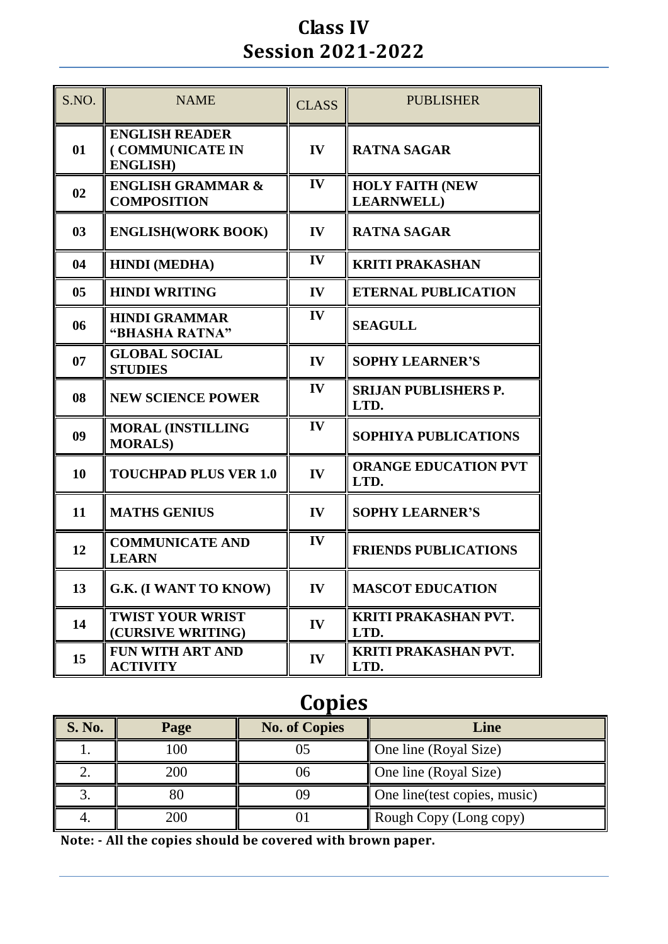#### **Class IV Session 2021-2022**

| S.NO.          | <b>NAME</b>                                                 | <b>CLASS</b>  | <b>PUBLISHER</b>                             |
|----------------|-------------------------------------------------------------|---------------|----------------------------------------------|
| 01             | <b>ENGLISH READER</b><br>(COMMUNICATE IN<br><b>ENGLISH)</b> | IV            | <b>RATNA SAGAR</b>                           |
| 02             | <b>ENGLISH GRAMMAR &amp;</b><br><b>COMPOSITION</b>          | IV            | <b>HOLY FAITH (NEW</b><br><b>LEARNWELL</b> ) |
| 03             | <b>ENGLISH(WORK BOOK)</b>                                   | IV            | <b>RATNA SAGAR</b>                           |
| 04             | <b>HINDI</b> (MEDHA)                                        | $\mathbf{IV}$ | <b>KRITI PRAKASHAN</b>                       |
| 0 <sub>5</sub> | <b>HINDI WRITING</b>                                        | IV            | <b>ETERNAL PUBLICATION</b>                   |
| 06             | <b>HINDI GRAMMAR</b><br>"BHASHA RATNA"                      | IV            | <b>SEAGULL</b>                               |
| 07             | <b>GLOBAL SOCIAL</b><br><b>STUDIES</b>                      | IV            | <b>SOPHY LEARNER'S</b>                       |
| 08             | <b>NEW SCIENCE POWER</b>                                    | IV            | <b>SRIJAN PUBLISHERS P.</b><br>LTD.          |
| 09             | <b>MORAL (INSTILLING</b><br><b>MORALS)</b>                  | IV            | <b>SOPHIYA PUBLICATIONS</b>                  |
| 10             | <b>TOUCHPAD PLUS VER 1.0</b>                                | IV            | <b>ORANGE EDUCATION PVT</b><br>LTD.          |
| 11             | <b>MATHS GENIUS</b>                                         | IV            | <b>SOPHY LEARNER'S</b>                       |
| 12             | <b>COMMUNICATE AND</b><br><b>LEARN</b>                      | IV            | <b>FRIENDS PUBLICATIONS</b>                  |
| 13             | <b>G.K. (I WANT TO KNOW)</b>                                | IV            | <b>MASCOT EDUCATION</b>                      |
| 14             | <b>TWIST YOUR WRIST</b><br>(CURSIVE WRITING)                | IV            | <b>KRITI PRAKASHAN PVT.</b><br>LTD.          |
| 15             | FUN WITH ART AND<br><b>ACTIVITY</b>                         | IV            | KRITI PRAKASHAN PVT.<br>LTD.                 |

## **Copies**

| <b>S. No.</b> | Page | <b>No. of Copies</b> | Line                          |
|---------------|------|----------------------|-------------------------------|
|               | 100  |                      | One line (Royal Size)         |
|               | 200  |                      | One line (Royal Size)         |
|               |      |                      | One line (test copies, music) |
|               | 200  |                      | Rough Copy (Long copy)        |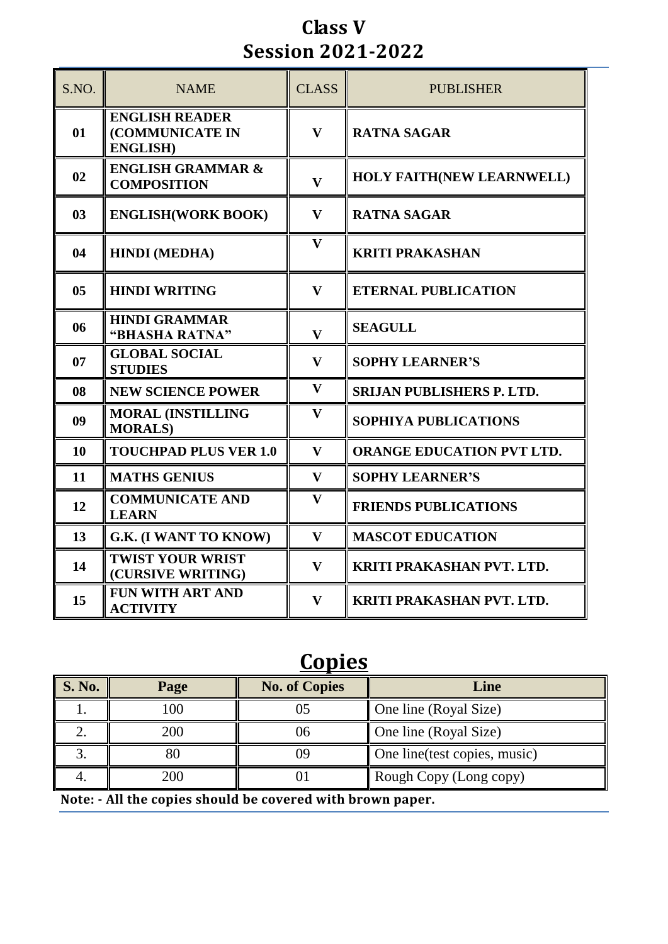#### **Class V Session 2021-2022**

| S.NO.          | <b>NAME</b>                                                 | <b>CLASS</b>            | <b>PUBLISHER</b>                 |
|----------------|-------------------------------------------------------------|-------------------------|----------------------------------|
| 01             | <b>ENGLISH READER</b><br>(COMMUNICATE IN<br><b>ENGLISH)</b> | $\mathbf{V}$            | <b>RATNA SAGAR</b>               |
| 02             | <b>ENGLISH GRAMMAR &amp;</b><br><b>COMPOSITION</b>          | $\overline{\mathbf{V}}$ | <b>HOLY FAITH(NEW LEARNWELL)</b> |
| 0 <sub>3</sub> | <b>ENGLISH(WORK BOOK)</b>                                   | $\mathbf{V}$            | <b>RATNA SAGAR</b>               |
| 04             | <b>HINDI</b> (MEDHA)                                        | $\mathbf{V}$            | <b>KRITI PRAKASHAN</b>           |
| 0 <sub>5</sub> | <b>HINDI WRITING</b>                                        | $\mathbf{V}$            | <b>ETERNAL PUBLICATION</b>       |
| 06             | <b>HINDI GRAMMAR</b><br>"BHASHA RATNA"                      | $\mathbf{V}$            | <b>SEAGULL</b>                   |
| 07             | <b>GLOBAL SOCIAL</b><br><b>STUDIES</b>                      | $\mathbf{V}$            | <b>SOPHY LEARNER'S</b>           |
| 08             | <b>NEW SCIENCE POWER</b>                                    | $\mathbf{V}$            | <b>SRIJAN PUBLISHERS P. LTD.</b> |
| 09             | <b>MORAL (INSTILLING</b><br><b>MORALS</b> )                 | V                       | <b>SOPHIYA PUBLICATIONS</b>      |
| 10             | <b>TOUCHPAD PLUS VER 1.0</b>                                | $\mathbf{V}$            | <b>ORANGE EDUCATION PVT LTD.</b> |
| 11             | <b>MATHS GENIUS</b>                                         | $\mathbf{V}$            | <b>SOPHY LEARNER'S</b>           |
| 12             | <b>COMMUNICATE AND</b><br><b>LEARN</b>                      | $\mathbf{V}$            | <b>FRIENDS PUBLICATIONS</b>      |
| 13             | G.K. (I WANT TO KNOW)                                       | $\mathbf{V}$            | <b>MASCOT EDUCATION</b>          |
| 14             | <b>TWIST YOUR WRIST</b><br>(CURSIVE WRITING)                | $\mathbf{V}$            | KRITI PRAKASHAN PVT. LTD.        |
| 15             | <b>FUN WITH ART AND</b><br><b>ACTIVITY</b>                  | $\mathbf{V}$            | <b>KRITI PRAKASHAN PVT. LTD.</b> |

## **Copies**

| <b>S. No.</b>                                              | Page | <b>No. of Copies</b> | Line                          |
|------------------------------------------------------------|------|----------------------|-------------------------------|
|                                                            | 100  |                      | One line (Royal Size)         |
|                                                            | 200  | 06                   | One line (Royal Size)         |
|                                                            | 80   |                      | One line (test copies, music) |
| 200<br>Rough Copy (Long copy)                              |      |                      |                               |
| Note: - All the copies should be covered with brown paper. |      |                      |                               |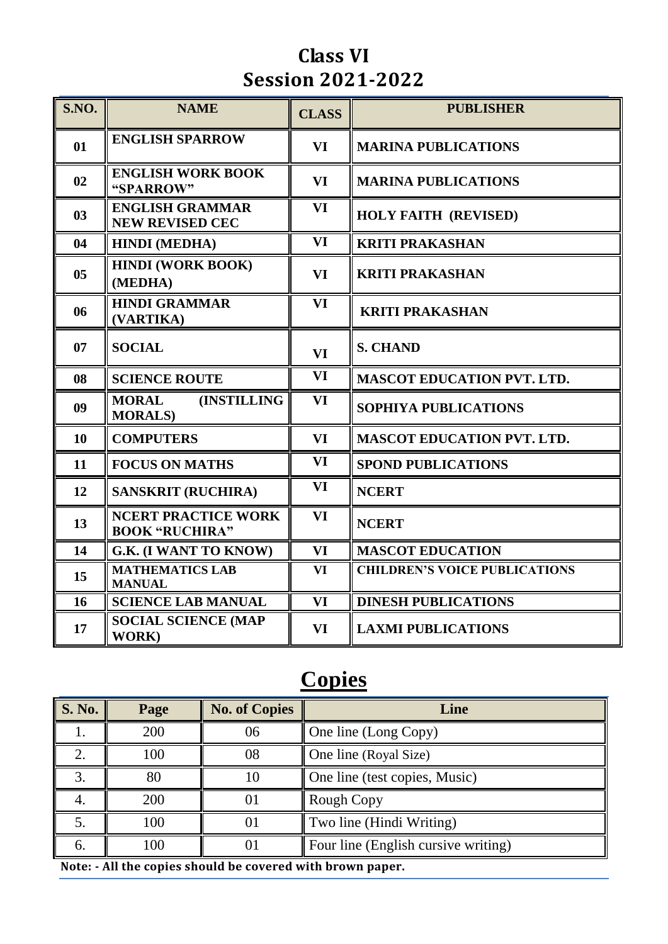#### **Class VI Session 2021-2022**

| S.NO.          | <b>NAME</b>                                            | <b>CLASS</b> | <b>PUBLISHER</b>                     |
|----------------|--------------------------------------------------------|--------------|--------------------------------------|
| 01             | <b>ENGLISH SPARROW</b>                                 | <b>VI</b>    | <b>MARINA PUBLICATIONS</b>           |
| 02             | <b>ENGLISH WORK BOOK</b><br>"SPARROW"                  | VI           | <b>MARINA PUBLICATIONS</b>           |
| 03             | <b>ENGLISH GRAMMAR</b><br><b>NEW REVISED CEC</b>       | <b>VI</b>    | <b>HOLY FAITH (REVISED)</b>          |
| 04             | <b>HINDI</b> (MEDHA)                                   | <b>VI</b>    | <b>KRITI PRAKASHAN</b>               |
| 0 <sub>5</sub> | <b>HINDI (WORK BOOK)</b><br>(MEDHA)                    | <b>VI</b>    | <b>KRITI PRAKASHAN</b>               |
| 06             | <b>HINDI GRAMMAR</b><br>(VARTIKA)                      | VI           | <b>KRITI PRAKASHAN</b>               |
| 07             | <b>SOCIAL</b>                                          | <b>VI</b>    | <b>S. CHAND</b>                      |
| 08             | <b>SCIENCE ROUTE</b>                                   | VI           | <b>MASCOT EDUCATION PVT. LTD.</b>    |
| 09             | <b>(INSTILLING)</b><br><b>MORAL</b><br><b>MORALS</b> ) | <b>VI</b>    | <b>SOPHIYA PUBLICATIONS</b>          |
| 10             | <b>COMPUTERS</b>                                       | <b>VI</b>    | <b>MASCOT EDUCATION PVT. LTD.</b>    |
| 11             | <b>FOCUS ON MATHS</b>                                  | VI           | <b>SPOND PUBLICATIONS</b>            |
| 12             | <b>SANSKRIT (RUCHIRA)</b>                              | VI           | <b>NCERT</b>                         |
| 13             | <b>NCERT PRACTICE WORK</b><br><b>BOOK "RUCHIRA"</b>    | <b>VI</b>    | <b>NCERT</b>                         |
| 14             | G.K. (I WANT TO KNOW)                                  | <b>VI</b>    | <b>MASCOT EDUCATION</b>              |
| 15             | <b>MATHEMATICS LAB</b><br><b>MANUAL</b>                | <b>VI</b>    | <b>CHILDREN'S VOICE PUBLICATIONS</b> |
| 16             | <b>SCIENCE LAB MANUAL</b>                              | <b>VI</b>    | <b>DINESH PUBLICATIONS</b>           |
| 17             | <b>SOCIAL SCIENCE (MAP</b><br><b>WORK)</b>             | VI           | <b>LAXMI PUBLICATIONS</b>            |

## **Copies**

| <b>S. No.</b>                                              | Page | <b>No. of Copies</b> | Line                                |
|------------------------------------------------------------|------|----------------------|-------------------------------------|
|                                                            | 200  | 06                   | One line (Long Copy)                |
|                                                            | 100  | 08                   | One line (Royal Size)               |
| $\mathfrak{Z}$                                             | 80   | 10                   | One line (test copies, Music)       |
|                                                            | 200  | $_{01}$              | Rough Copy                          |
|                                                            | 100  | $_{01}$              | Two line (Hindi Writing)            |
| 6.                                                         | 100  | $_{01}$              | Four line (English cursive writing) |
| Note: - All the copies should be covered with brown paper. |      |                      |                                     |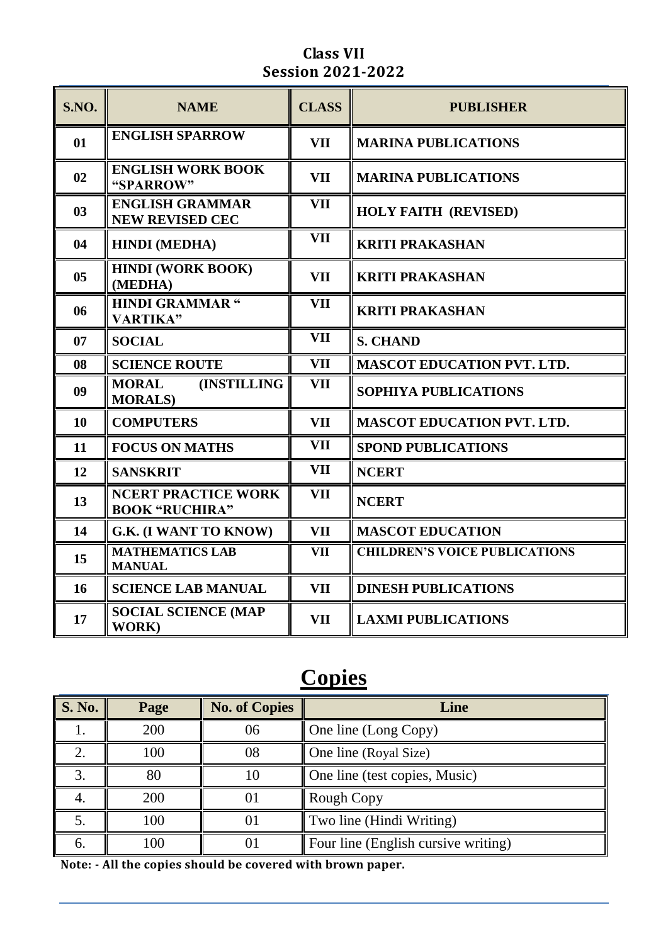#### **Class VII Session 2021-2022**

| S.NO.          | <b>NAME</b>                                           | <b>CLASS</b> | <b>PUBLISHER</b>                     |
|----------------|-------------------------------------------------------|--------------|--------------------------------------|
| 01             | <b>ENGLISH SPARROW</b>                                | <b>VII</b>   | <b>MARINA PUBLICATIONS</b>           |
| 02             | <b>ENGLISH WORK BOOK</b><br>"SPARROW"                 | <b>VII</b>   | <b>MARINA PUBLICATIONS</b>           |
| 03             | <b>ENGLISH GRAMMAR</b><br><b>NEW REVISED CEC</b>      | <b>VII</b>   | <b>HOLY FAITH (REVISED)</b>          |
| 04             | <b>HINDI</b> (MEDHA)                                  | <b>VII</b>   | <b>KRITI PRAKASHAN</b>               |
| 0 <sub>5</sub> | <b>HINDI (WORK BOOK)</b><br>(MEDHA)                   | <b>VII</b>   | <b>KRITI PRAKASHAN</b>               |
| 06             | <b>HINDI GRAMMAR "</b><br><b>VARTIKA"</b>             | <b>VII</b>   | <b>KRITI PRAKASHAN</b>               |
| 07             | <b>SOCIAL</b>                                         | <b>VII</b>   | <b>S. CHAND</b>                      |
| 08             | <b>SCIENCE ROUTE</b>                                  | <b>VII</b>   | <b>MASCOT EDUCATION PVT. LTD.</b>    |
| 09             | <b>(INSTILLING)</b><br><b>MORAL</b><br><b>MORALS)</b> | <b>VII</b>   | <b>SOPHIYA PUBLICATIONS</b>          |
| 10             | <b>COMPUTERS</b>                                      | <b>VII</b>   | <b>MASCOT EDUCATION PVT. LTD.</b>    |
| 11             | <b>FOCUS ON MATHS</b>                                 | <b>VII</b>   | <b>SPOND PUBLICATIONS</b>            |
| 12             | <b>SANSKRIT</b>                                       | VII          | <b>NCERT</b>                         |
| 13             | <b>NCERT PRACTICE WORK</b><br><b>BOOK "RUCHIRA"</b>   | <b>VII</b>   | <b>NCERT</b>                         |
| 14             | G.K. (I WANT TO KNOW)                                 | <b>VII</b>   | <b>MASCOT EDUCATION</b>              |
| 15             | <b>MATHEMATICS LAB</b><br><b>MANUAL</b>               | <b>VII</b>   | <b>CHILDREN'S VOICE PUBLICATIONS</b> |
| 16             | <b>SCIENCE LAB MANUAL</b>                             | <b>VII</b>   | <b>DINESH PUBLICATIONS</b>           |
| 17             | <b>SOCIAL SCIENCE (MAP</b><br><b>WORK)</b>            | <b>VII</b>   | <b>LAXMI PUBLICATIONS</b>            |

### **Copies**

| <b>S. No.</b> | Page | <b>No. of Copies</b> | Line                                |
|---------------|------|----------------------|-------------------------------------|
|               | 200  | 06                   | One line (Long Copy)                |
|               | 100  | 08                   | One line (Royal Size)               |
|               | 80   |                      | One line (test copies, Music)       |
|               | 200  | O I                  | Rough Copy                          |
|               | 100  |                      | Two line (Hindi Writing)            |
| O.            | 100  |                      | Four line (English cursive writing) |